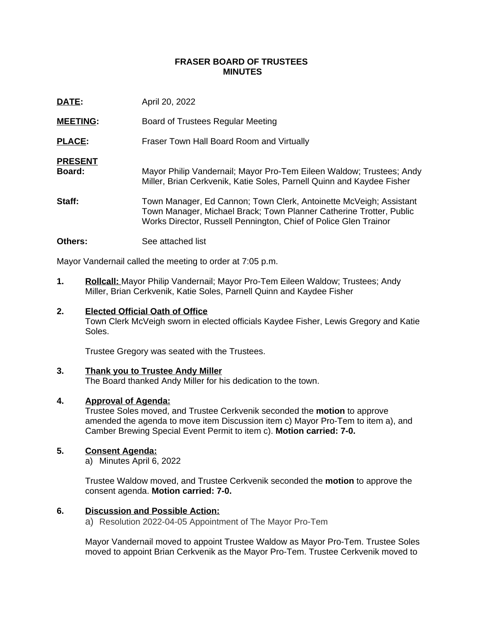## **FRASER BOARD OF TRUSTEES MINUTES**

| DATE:                           | April 20, 2022                                                                                                                                                                                                |
|---------------------------------|---------------------------------------------------------------------------------------------------------------------------------------------------------------------------------------------------------------|
| <b>MEETING:</b>                 | Board of Trustees Regular Meeting                                                                                                                                                                             |
| <b>PLACE:</b>                   | Fraser Town Hall Board Room and Virtually                                                                                                                                                                     |
| <b>PRESENT</b><br><b>Board:</b> | Mayor Philip Vandernail; Mayor Pro-Tem Eileen Waldow; Trustees; Andy<br>Miller, Brian Cerkvenik, Katie Soles, Parnell Quinn and Kaydee Fisher                                                                 |
| Staff:                          | Town Manager, Ed Cannon; Town Clerk, Antoinette McVeigh; Assistant<br>Town Manager, Michael Brack; Town Planner Catherine Trotter, Public<br>Works Director, Russell Pennington, Chief of Police Glen Trainor |
|                                 |                                                                                                                                                                                                               |

**Others:** See attached list

Mayor Vandernail called the meeting to order at 7:05 p.m.

**1. Rollcall:** Mayor Philip Vandernail; Mayor Pro-Tem Eileen Waldow; Trustees; Andy Miller, Brian Cerkvenik, Katie Soles, Parnell Quinn and Kaydee Fisher

## **2. Elected Official Oath of Office**

Town Clerk McVeigh sworn in elected officials Kaydee Fisher, Lewis Gregory and Katie Soles.

Trustee Gregory was seated with the Trustees.

### **3. Thank you to Trustee Andy Miller**

The Board thanked Andy Miller for his dedication to the town.

### **4. Approval of Agenda:**

Trustee Soles moved, and Trustee Cerkvenik seconded the **motion** to approve amended the agenda to move item Discussion item c) Mayor Pro-Tem to item a), and Camber Brewing Special Event Permit to item c). **Motion carried: 7-0.**

# **5. Consent Agenda:**

a) Minutes April 6, 2022

Trustee Waldow moved, and Trustee Cerkvenik seconded the **motion** to approve the consent agenda. **Motion carried: 7-0.**

# **6. Discussion and Possible Action:**

a) Resolution 2022-04-05 Appointment of The Mayor Pro-Tem

Mayor Vandernail moved to appoint Trustee Waldow as Mayor Pro-Tem. Trustee Soles moved to appoint Brian Cerkvenik as the Mayor Pro-Tem. Trustee Cerkvenik moved to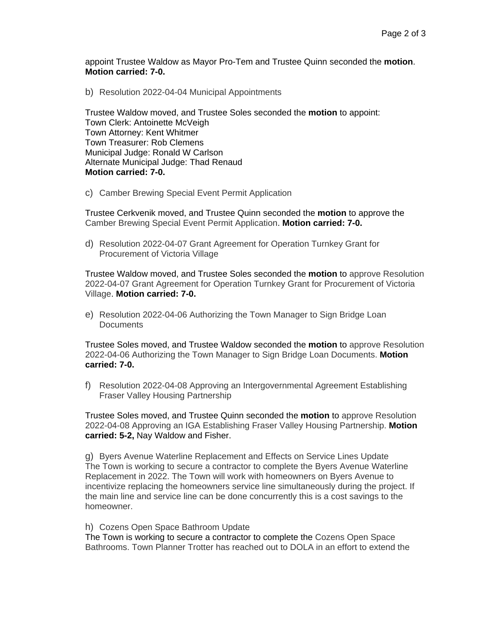appoint Trustee Waldow as Mayor Pro-Tem and Trustee Quinn seconded the **motion**. **Motion carried: 7-0.**

b) Resolution 2022-04-04 Municipal Appointments

Trustee Waldow moved, and Trustee Soles seconded the **motion** to appoint: Town Clerk: Antoinette McVeigh Town Attorney: Kent Whitmer Town Treasurer: Rob Clemens Municipal Judge: Ronald W Carlson Alternate Municipal Judge: Thad Renaud **Motion carried: 7-0.**

c) Camber Brewing Special Event Permit Application

Trustee Cerkvenik moved, and Trustee Quinn seconded the **motion** to approve the Camber Brewing Special Event Permit Application. **Motion carried: 7-0.**

d) Resolution 2022-04-07 Grant Agreement for Operation Turnkey Grant for Procurement of Victoria Village

Trustee Waldow moved, and Trustee Soles seconded the **motion** to approve Resolution 2022-04-07 Grant Agreement for Operation Turnkey Grant for Procurement of Victoria Village. **Motion carried: 7-0.**

e) Resolution 2022-04-06 Authorizing the Town Manager to Sign Bridge Loan **Documents** 

Trustee Soles moved, and Trustee Waldow seconded the **motion** to approve Resolution 2022-04-06 Authorizing the Town Manager to Sign Bridge Loan Documents. **Motion carried: 7-0.**

f) Resolution 2022-04-08 Approving an Intergovernmental Agreement Establishing Fraser Valley Housing Partnership

Trustee Soles moved, and Trustee Quinn seconded the **motion** to approve Resolution 2022-04-08 Approving an IGA Establishing Fraser Valley Housing Partnership. **Motion carried: 5-2,** Nay Waldow and Fisher.

g) Byers Avenue Waterline Replacement and Effects on Service Lines Update The Town is working to secure a contractor to complete the Byers Avenue Waterline Replacement in 2022. The Town will work with homeowners on Byers Avenue to incentivize replacing the homeowners service line simultaneously during the project. If the main line and service line can be done concurrently this is a cost savings to the homeowner.

h) Cozens Open Space Bathroom Update

The Town is working to secure a contractor to complete the Cozens Open Space Bathrooms. Town Planner Trotter has reached out to DOLA in an effort to extend the